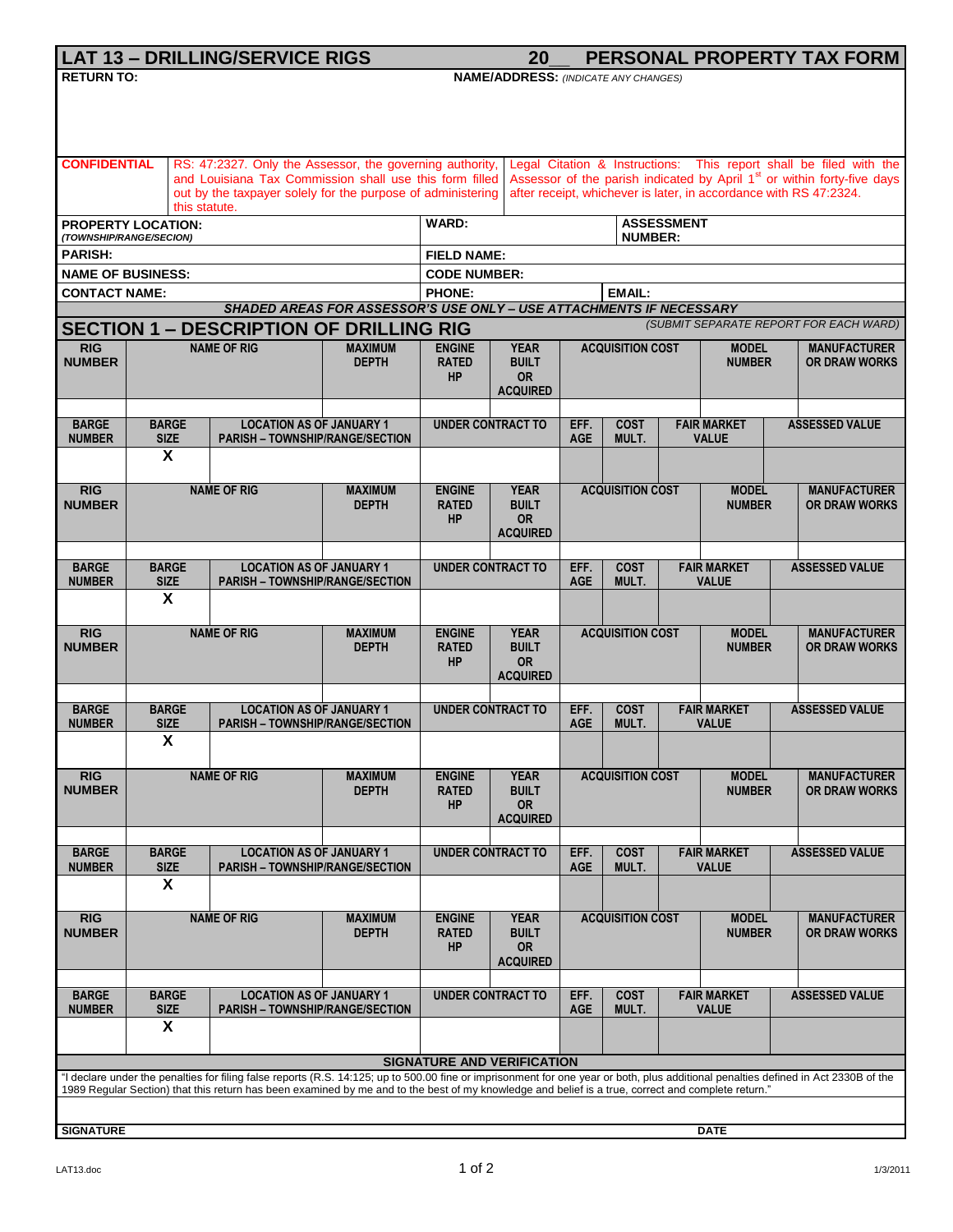| <b>LAT 13 - DRILLING/SERVICE RIGS</b>                                                                                                                                                                                    |                                                                |                                                                           |                                                                    |                                                                                                                                                          | 20                                                  |                         |                                            |                                    |                                                             |                       | PERSONAL PROPERTY TAX FORM                  |  |
|--------------------------------------------------------------------------------------------------------------------------------------------------------------------------------------------------------------------------|----------------------------------------------------------------|---------------------------------------------------------------------------|--------------------------------------------------------------------|----------------------------------------------------------------------------------------------------------------------------------------------------------|-----------------------------------------------------|-------------------------|--------------------------------------------|------------------------------------|-------------------------------------------------------------|-----------------------|---------------------------------------------|--|
| <b>RETURN TO:</b>                                                                                                                                                                                                        |                                                                |                                                                           |                                                                    | <b>NAME/ADDRESS: (INDICATE ANY CHANGES)</b>                                                                                                              |                                                     |                         |                                            |                                    |                                                             |                       |                                             |  |
|                                                                                                                                                                                                                          |                                                                |                                                                           |                                                                    |                                                                                                                                                          |                                                     |                         |                                            |                                    |                                                             |                       |                                             |  |
|                                                                                                                                                                                                                          |                                                                |                                                                           |                                                                    |                                                                                                                                                          |                                                     |                         |                                            |                                    |                                                             |                       |                                             |  |
|                                                                                                                                                                                                                          |                                                                |                                                                           |                                                                    |                                                                                                                                                          |                                                     |                         |                                            |                                    |                                                             |                       |                                             |  |
| <b>CONFIDENTIAL</b><br>Legal Citation & Instructions: This report shall be filed with the<br>RS: 47:2327. Only the Assessor, the governing authority,<br>and Louisiana Tax Commission shall use this form filled         |                                                                |                                                                           |                                                                    |                                                                                                                                                          |                                                     |                         |                                            |                                    |                                                             |                       |                                             |  |
|                                                                                                                                                                                                                          |                                                                | out by the taxpayer solely for the purpose of administering               |                                                                    | Assessor of the parish indicated by April 1 <sup>st</sup> or within forty-five days<br>after receipt, whichever is later, in accordance with RS 47:2324. |                                                     |                         |                                            |                                    |                                                             |                       |                                             |  |
|                                                                                                                                                                                                                          | this statute.                                                  |                                                                           |                                                                    |                                                                                                                                                          |                                                     |                         |                                            |                                    |                                                             |                       |                                             |  |
|                                                                                                                                                                                                                          | <b>PROPERTY LOCATION:</b><br>(TOWNSHIP/RANGE/SECION)           |                                                                           |                                                                    |                                                                                                                                                          | <b>WARD:</b><br><b>ASSESSMENT</b><br><b>NUMBER:</b> |                         |                                            |                                    |                                                             |                       |                                             |  |
| <b>PARISH:</b>                                                                                                                                                                                                           |                                                                |                                                                           |                                                                    | <b>FIELD NAME:</b>                                                                                                                                       |                                                     |                         |                                            |                                    |                                                             |                       |                                             |  |
| <b>NAME OF BUSINESS:</b>                                                                                                                                                                                                 |                                                                |                                                                           |                                                                    | <b>CODE NUMBER:</b>                                                                                                                                      |                                                     |                         |                                            |                                    |                                                             |                       |                                             |  |
| <b>CONTACT NAME:</b>                                                                                                                                                                                                     |                                                                | <b>PHONE:</b><br><b>EMAIL:</b>                                            |                                                                    |                                                                                                                                                          |                                                     |                         |                                            |                                    |                                                             |                       |                                             |  |
| SHADED AREAS FOR ASSESSOR'S USE ONLY - USE ATTACHMENTS IF NECESSARY<br>(SUBMIT SEPARATE REPORT FOR EACH WARD)<br><b>SECTION 1 - DESCRIPTION OF DRILLING RIG</b>                                                          |                                                                |                                                                           |                                                                    |                                                                                                                                                          |                                                     |                         |                                            |                                    |                                                             |                       |                                             |  |
| RIG                                                                                                                                                                                                                      |                                                                |                                                                           |                                                                    |                                                                                                                                                          |                                                     |                         |                                            |                                    |                                                             |                       |                                             |  |
| <b>NUMBER</b>                                                                                                                                                                                                            | <b>NAME OF RIG</b>                                             |                                                                           | <b>MAXIMUM</b><br><b>DEPTH</b>                                     | <b>ENGINE</b><br><b>RATED</b>                                                                                                                            | <b>YEAR</b><br><b>BUILT</b>                         |                         | <b>ACQUISITION COST</b>                    |                                    | <b>MODEL</b><br><b>NUMBER</b>                               |                       | <b>MANUFACTURER</b><br><b>OR DRAW WORKS</b> |  |
|                                                                                                                                                                                                                          |                                                                |                                                                           |                                                                    | <b>HP</b>                                                                                                                                                | <b>OR</b>                                           |                         |                                            |                                    |                                                             |                       |                                             |  |
|                                                                                                                                                                                                                          |                                                                |                                                                           |                                                                    | <b>ACQUIRED</b>                                                                                                                                          |                                                     |                         |                                            |                                    |                                                             |                       |                                             |  |
| <b>BARGE</b>                                                                                                                                                                                                             | <b>BARGE</b>                                                   | <b>LOCATION AS OF JANUARY 1</b>                                           |                                                                    |                                                                                                                                                          | <b>UNDER CONTRACT TO</b>                            |                         | <b>COST</b>                                | <b>FAIR MARKET</b>                 |                                                             | <b>ASSESSED VALUE</b> |                                             |  |
| <b>NUMBER</b>                                                                                                                                                                                                            | <b>SIZE</b><br>$\overline{\mathbf{x}}$                         | <b>PARISH - TOWNSHIP/RANGE/SECTION</b>                                    |                                                                    |                                                                                                                                                          |                                                     | <b>AGE</b>              | MULT.                                      |                                    | <b>VALUE</b>                                                |                       |                                             |  |
|                                                                                                                                                                                                                          |                                                                |                                                                           |                                                                    |                                                                                                                                                          |                                                     |                         |                                            |                                    |                                                             |                       |                                             |  |
| <b>RIG</b>                                                                                                                                                                                                               |                                                                | <b>NAME OF RIG</b>                                                        | <b>MAXIMUM</b>                                                     | <b>ENGINE</b>                                                                                                                                            | <b>YEAR</b>                                         |                         | <b>ACQUISITION COST</b>                    |                                    | <b>MODEL</b>                                                |                       | <b>MANUFACTURER</b>                         |  |
| <b>NUMBER</b>                                                                                                                                                                                                            |                                                                |                                                                           | <b>DEPTH</b>                                                       | <b>RATED</b>                                                                                                                                             | <b>BUILT</b>                                        |                         |                                            |                                    | <b>NUMBER</b>                                               |                       | <b>OR DRAW WORKS</b>                        |  |
|                                                                                                                                                                                                                          |                                                                |                                                                           |                                                                    | <b>HP</b>                                                                                                                                                | <b>OR</b><br><b>ACQUIRED</b>                        |                         |                                            |                                    |                                                             |                       |                                             |  |
|                                                                                                                                                                                                                          |                                                                |                                                                           |                                                                    |                                                                                                                                                          |                                                     |                         |                                            |                                    |                                                             |                       |                                             |  |
| <b>BARGE</b><br><b>NUMBER</b>                                                                                                                                                                                            | <b>LOCATION AS OF JANUARY 1</b><br><b>BARGE</b><br><b>SIZE</b> |                                                                           | <b>UNDER CONTRACT TO</b><br><b>PARISH - TOWNSHIP/RANGE/SECTION</b> |                                                                                                                                                          |                                                     | EFF.<br><b>AGE</b>      | <b>COST</b><br>MULT.                       | <b>FAIR MARKET</b><br><b>VALUE</b> |                                                             |                       | <b>ASSESSED VALUE</b>                       |  |
|                                                                                                                                                                                                                          | X                                                              |                                                                           |                                                                    |                                                                                                                                                          |                                                     |                         |                                            |                                    |                                                             |                       |                                             |  |
|                                                                                                                                                                                                                          |                                                                |                                                                           |                                                                    |                                                                                                                                                          |                                                     |                         |                                            |                                    |                                                             |                       |                                             |  |
| <b>RIG</b><br><b>NUMBER</b>                                                                                                                                                                                              |                                                                | <b>NAME OF RIG</b>                                                        | <b>MAXIMUM</b>                                                     | <b>ENGINE</b>                                                                                                                                            | <b>YEAR</b><br><b>BUILT</b>                         |                         | <b>ACQUISITION COST</b>                    |                                    | <b>MODEL</b><br><b>NUMBER</b>                               |                       | <b>MANUFACTURER</b>                         |  |
|                                                                                                                                                                                                                          |                                                                |                                                                           | <b>DEPTH</b>                                                       | <b>RATED</b><br><b>HP</b>                                                                                                                                | <b>OR</b>                                           |                         |                                            |                                    |                                                             |                       | <b>OR DRAW WORKS</b>                        |  |
|                                                                                                                                                                                                                          |                                                                |                                                                           |                                                                    |                                                                                                                                                          | <b>ACQUIRED</b>                                     |                         |                                            |                                    |                                                             |                       |                                             |  |
| <b>BARGE</b>                                                                                                                                                                                                             | <b>BARGE</b>                                                   |                                                                           | <b>LOCATION AS OF JANUARY 1</b>                                    | <b>UNDER CONTRACT TO</b>                                                                                                                                 |                                                     | EFF.<br><b>COST</b>     |                                            |                                    | <b>FAIR MARKET</b>                                          |                       | <b>ASSESSED VALUE</b>                       |  |
| <b>NUMBER</b>                                                                                                                                                                                                            | <b>SIZE</b><br><b>PARISH - TOWNSHIP/RANGE/SECTION</b>          |                                                                           |                                                                    |                                                                                                                                                          |                                                     | <b>AGE</b><br>MULT.     |                                            | <b>VALUE</b>                       |                                                             |                       |                                             |  |
|                                                                                                                                                                                                                          | X                                                              |                                                                           |                                                                    |                                                                                                                                                          |                                                     |                         |                                            |                                    |                                                             |                       |                                             |  |
| <b>RIG</b>                                                                                                                                                                                                               |                                                                |                                                                           | <b>MAXIMUM</b>                                                     | <b>ENGINE</b>                                                                                                                                            | <b>YEAR</b>                                         |                         |                                            |                                    | <b>MODEL</b>                                                |                       | <b>MANUFACTURER</b>                         |  |
| <b>NUMBER</b>                                                                                                                                                                                                            | <b>NAME OF RIG</b>                                             |                                                                           | <b>DEPTH</b>                                                       | <b>RATED</b>                                                                                                                                             | <b>BUILT</b>                                        | <b>ACQUISITION COST</b> |                                            |                                    | <b>NUMBER</b>                                               |                       | <b>OR DRAW WORKS</b>                        |  |
|                                                                                                                                                                                                                          |                                                                |                                                                           |                                                                    | HP                                                                                                                                                       | <b>OR</b><br><b>ACQUIRED</b>                        |                         |                                            |                                    |                                                             |                       |                                             |  |
|                                                                                                                                                                                                                          |                                                                |                                                                           |                                                                    |                                                                                                                                                          |                                                     |                         |                                            |                                    |                                                             |                       |                                             |  |
| <b>BARGE</b>                                                                                                                                                                                                             | <b>BARGE</b>                                                   | <b>LOCATION AS OF JANUARY 1</b>                                           |                                                                    |                                                                                                                                                          | <b>UNDER CONTRACT TO</b>                            | EFF.                    | <b>COST</b>                                |                                    | <b>FAIR MARKET</b>                                          |                       | <b>ASSESSED VALUE</b>                       |  |
| <b>NUMBER</b>                                                                                                                                                                                                            | <b>SIZE</b><br>X                                               | <b>PARISH - TOWNSHIP/RANGE/SECTION</b>                                    |                                                                    |                                                                                                                                                          |                                                     | <b>AGE</b>              | MULT.                                      |                                    | <b>VALUE</b>                                                |                       |                                             |  |
|                                                                                                                                                                                                                          |                                                                |                                                                           |                                                                    |                                                                                                                                                          |                                                     |                         |                                            |                                    |                                                             |                       |                                             |  |
| <b>RIG</b>                                                                                                                                                                                                               |                                                                | <b>NAME OF RIG</b>                                                        | <b>MAXIMUM</b>                                                     | <b>ENGINE</b>                                                                                                                                            | <b>YEAR</b>                                         |                         | <b>ACQUISITION COST</b>                    |                                    | <b>MODEL</b>                                                |                       | <b>MANUFACTURER</b>                         |  |
| <b>NUMBER</b>                                                                                                                                                                                                            |                                                                |                                                                           | <b>DEPTH</b>                                                       | <b>BUILT</b><br><b>RATED</b><br><b>HP</b><br><b>OR</b>                                                                                                   |                                                     |                         |                                            |                                    | <b>NUMBER</b>                                               |                       | <b>OR DRAW WORKS</b>                        |  |
|                                                                                                                                                                                                                          |                                                                |                                                                           |                                                                    |                                                                                                                                                          | <b>ACQUIRED</b>                                     |                         |                                            |                                    |                                                             |                       |                                             |  |
|                                                                                                                                                                                                                          |                                                                |                                                                           |                                                                    |                                                                                                                                                          |                                                     |                         |                                            |                                    |                                                             |                       |                                             |  |
| <b>BARGE</b><br><b>NUMBER</b>                                                                                                                                                                                            | <b>BARGE</b><br><b>SIZE</b>                                    | <b>LOCATION AS OF JANUARY 1</b><br><b>PARISH - TOWNSHIP/RANGE/SECTION</b> |                                                                    | <b>UNDER CONTRACT TO</b>                                                                                                                                 |                                                     |                         | EFF.<br><b>COST</b><br><b>AGE</b><br>MULT. |                                    | <b>FAIR MARKET</b><br><b>ASSESSED VALUE</b><br><b>VALUE</b> |                       |                                             |  |
|                                                                                                                                                                                                                          | X                                                              |                                                                           |                                                                    |                                                                                                                                                          |                                                     |                         |                                            |                                    |                                                             |                       |                                             |  |
|                                                                                                                                                                                                                          |                                                                |                                                                           |                                                                    |                                                                                                                                                          |                                                     |                         |                                            |                                    |                                                             |                       |                                             |  |
| <b>SIGNATURE AND VERIFICATION</b><br>"I declare under the penalties for filing false reports (R.S. 14:125; up to 500.00 fine or imprisonment for one year or both, plus additional penalties defined in Act 2330B of the |                                                                |                                                                           |                                                                    |                                                                                                                                                          |                                                     |                         |                                            |                                    |                                                             |                       |                                             |  |
| 1989 Regular Section) that this return has been examined by me and to the best of my knowledge and belief is a true, correct and complete return."                                                                       |                                                                |                                                                           |                                                                    |                                                                                                                                                          |                                                     |                         |                                            |                                    |                                                             |                       |                                             |  |
|                                                                                                                                                                                                                          |                                                                |                                                                           |                                                                    |                                                                                                                                                          |                                                     |                         |                                            |                                    |                                                             |                       |                                             |  |
| <b>SIGNATURE</b><br><b>DATE</b>                                                                                                                                                                                          |                                                                |                                                                           |                                                                    |                                                                                                                                                          |                                                     |                         |                                            |                                    |                                                             |                       |                                             |  |